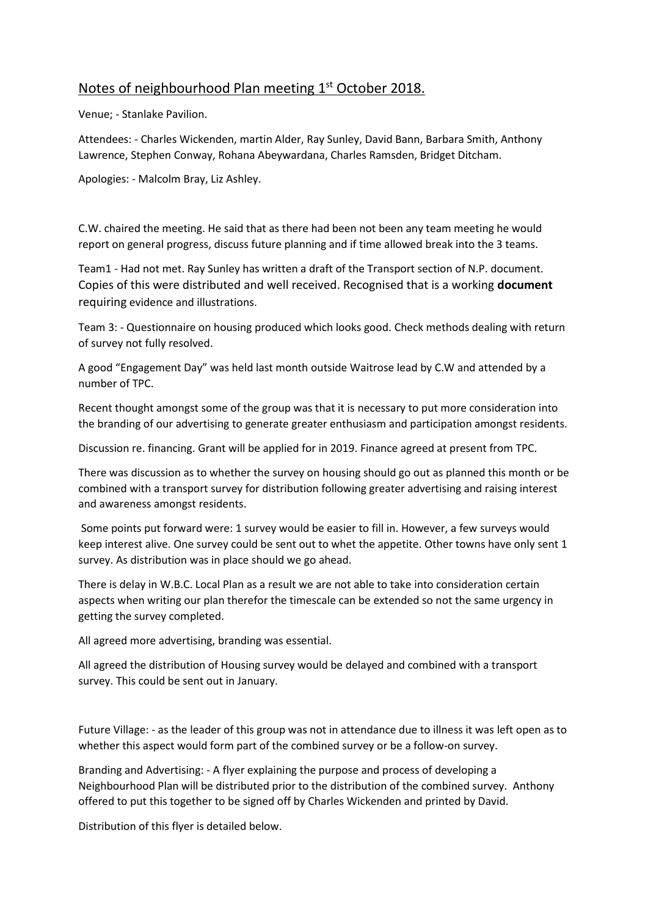## Notes of neighbourhood Plan meeting 1<sup>st</sup> October 2018.

Venue; - Stanlake Pavilion.

Attendees: - Charles Wickenden, martin Alder, Ray Sunley, David Bann, Barbara Smith, Anthony Lawrence, Stephen Conway, Rohana Abeywardana, Charles Ramsden, Bridget Ditcham.

Apologies: - Malcolm Bray, Liz Ashley.

C.W. chaired the meeting. He said that as there had been not been any team meeting he would report on general progress, discuss future planning and if time allowed break into the 3 teams.

Team1 - Had not met. Ray Sunley has written a draft of the Transport section of N.P. document. Copies of this were distributed and well received. Recognised that is a working **document**  requiring evidence and illustrations.

Team 3: - Questionnaire on housing produced which looks good. Check methods dealing with return of survey not fully resolved.

A good "Engagement Day" was held last month outside Waitrose lead by C.W and attended by a number of TPC.

Recent thought amongst some of the group was that it is necessary to put more consideration into the branding of our advertising to generate greater enthusiasm and participation amongst residents.

Discussion re. financing. Grant will be applied for in 2019. Finance agreed at present from TPC.

There was discussion as to whether the survey on housing should go out as planned this month or be combined with a transport survey for distribution following greater advertising and raising interest and awareness amongst residents.

Some points put forward were: 1 survey would be easier to fill in. However, a few surveys would keep interest alive. One survey could be sent out to whet the appetite. Other towns have only sent 1 survey. As distribution was in place should we go ahead.

There is delay in W.B.C. Local Plan as a result we are not able to take into consideration certain aspects when writing our plan therefor the timescale can be extended so not the same urgency in getting the survey completed.

All agreed more advertising, branding was essential.

All agreed the distribution of Housing survey would be delayed and combined with a transport survey. This could be sent out in January.

Future Village: - as the leader of this group was not in attendance due to illness it was left open as to whether this aspect would form part of the combined survey or be a follow-on survey.

Branding and Advertising: - A flyer explaining the purpose and process of developing a Neighbourhood Plan will be distributed prior to the distribution of the combined survey. Anthony offered to put this together to be signed off by Charles Wickenden and printed by David.

Distribution of this flyer is detailed below.